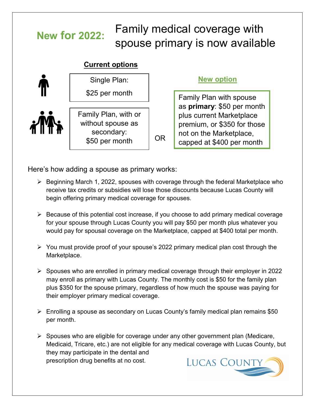# Family medical coverage with spouse primary is now available **New for 2022:**

## **Current options**



### **New option**

Family Plan with spouse as **primary**: \$50 per month plus current Marketplace premium, or \$350 for those not on the Marketplace, capped at \$400 per month

Here's how adding a spouse as primary works:

- $\triangleright$  Beginning March 1, 2022, spouses with coverage through the federal Marketplace who receive tax credits or subsidies will lose those discounts because Lucas County will begin offering primary medical coverage for spouses.
- $\triangleright$  Because of this potential cost increase, if you choose to add primary medical coverage for your spouse through Lucas County you will pay \$50 per month plus whatever you would pay for spousal coverage on the Marketplace, capped at \$400 total per month.
- $\triangleright$  You must provide proof of your spouse's 2022 primary medical plan cost through the Marketplace.
- $\triangleright$  Spouses who are enrolled in primary medical coverage through their employer in 2022 may enroll as primary with Lucas County. The monthly cost is \$50 for the family plan plus \$350 for the spouse primary, regardless of how much the spouse was paying for their employer primary medical coverage.
- Enrolling a spouse as secondary on Lucas County's family medical plan remains \$50 per month.
- $\triangleright$  Spouses who are eligible for coverage under any other government plan (Medicare, Medicaid, Tricare, etc.) are not eligible for any medical coverage with Lucas County, but they may participate in the dental and prescription drug benefits at no cost.